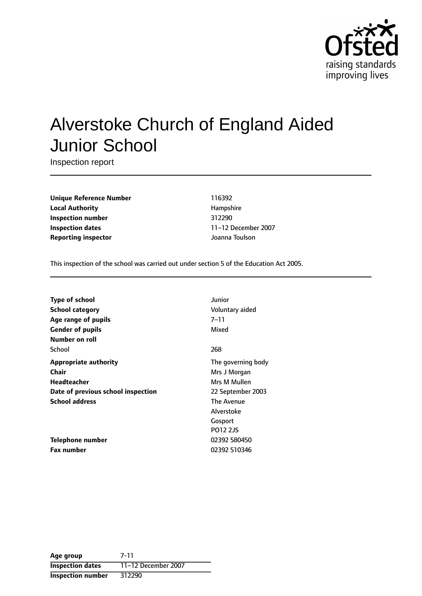

# Alverstoke Church of England Aided Junior School

Inspection report

**Unique Reference Number** 116392 **Local Authority Hampshire Inspection number** 312290 **Inspection dates** 11-12 December 2007 **Reporting inspector and COVID-10** *Separament Joanna Toulson* 

This inspection of the school was carried out under section 5 of the Education Act 2005.

| Type of school                     | Junior             |
|------------------------------------|--------------------|
| <b>School category</b>             | Voluntary aided    |
| Age range of pupils                | 7–11               |
| <b>Gender of pupils</b>            | Mixed              |
| Number on roll                     |                    |
| School                             | 268                |
| <b>Appropriate authority</b>       | The governing body |
| Chair                              | Mrs J Morgan       |
| <b>Headteacher</b>                 | Mrs M Mullen       |
| Date of previous school inspection | 22 September 2003  |
| <b>School address</b>              | The Avenue         |
|                                    | Alverstoke         |
|                                    | Gosport            |
|                                    | P012 2JS           |
| Telephone number                   | 02392 580450       |
| <b>Fax number</b>                  | 02392 510346       |

**Age group** 7-11 **Inspection dates** 11-12 December 2007 **Inspection number** 312290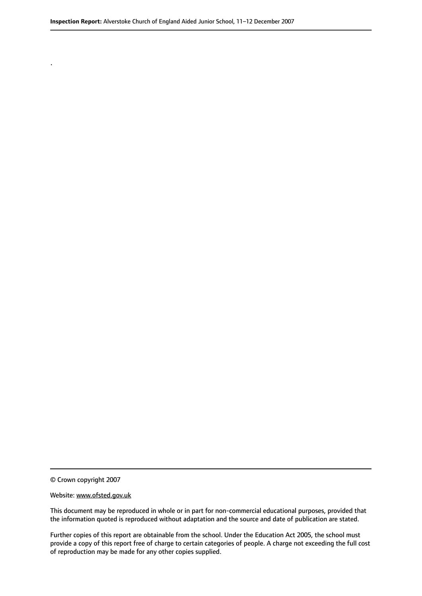© Crown copyright 2007

.

#### Website: www.ofsted.gov.uk

This document may be reproduced in whole or in part for non-commercial educational purposes, provided that the information quoted is reproduced without adaptation and the source and date of publication are stated.

Further copies of this report are obtainable from the school. Under the Education Act 2005, the school must provide a copy of this report free of charge to certain categories of people. A charge not exceeding the full cost of reproduction may be made for any other copies supplied.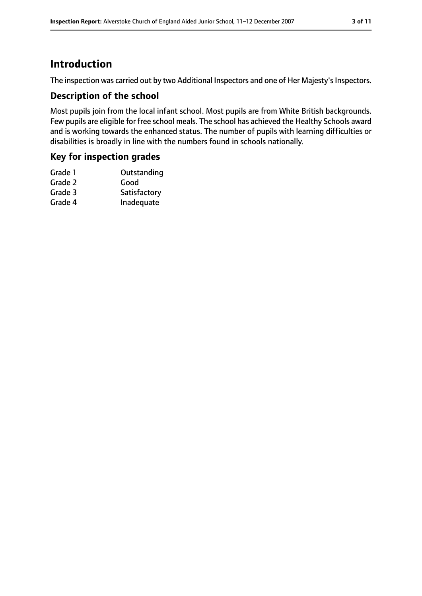## **Introduction**

The inspection was carried out by two Additional Inspectors and one of Her Majesty's Inspectors.

#### **Description of the school**

Most pupils join from the local infant school. Most pupils are from White British backgrounds. Few pupils are eligible for free school meals. The school has achieved the Healthy Schools award and is working towards the enhanced status. The number of pupils with learning difficulties or disabilities is broadly in line with the numbers found in schools nationally.

#### **Key for inspection grades**

| Grade 1 | Outstanding  |
|---------|--------------|
| Grade 2 | Good         |
| Grade 3 | Satisfactory |
| Grade 4 | Inadequate   |
|         |              |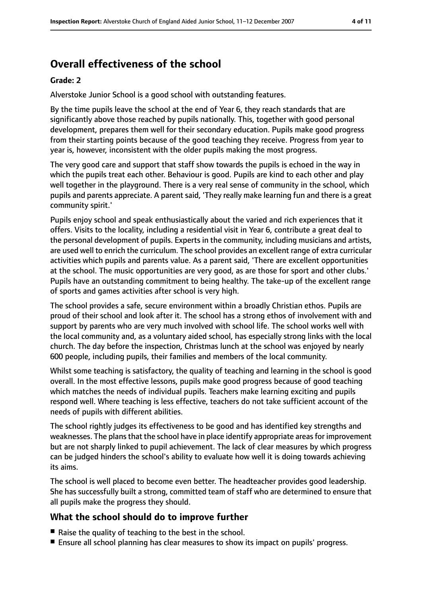## **Overall effectiveness of the school**

#### **Grade: 2**

Alverstoke Junior School is a good school with outstanding features.

By the time pupils leave the school at the end of Year 6, they reach standards that are significantly above those reached by pupils nationally. This, together with good personal development, prepares them well for their secondary education. Pupils make good progress from their starting points because of the good teaching they receive. Progress from year to year is, however, inconsistent with the older pupils making the most progress.

The very good care and support that staff show towards the pupils is echoed in the way in which the pupils treat each other. Behaviour is good. Pupils are kind to each other and play well together in the playground. There is a very real sense of community in the school, which pupils and parents appreciate. A parent said, 'They really make learning fun and there is a great community spirit.'

Pupils enjoy school and speak enthusiastically about the varied and rich experiences that it offers. Visits to the locality, including a residential visit in Year 6, contribute a great deal to the personal development of pupils. Experts in the community, including musicians and artists, are used well to enrich the curriculum. The school provides an excellent range of extra curricular activities which pupils and parents value. As a parent said, 'There are excellent opportunities at the school. The music opportunities are very good, as are those for sport and other clubs.' Pupils have an outstanding commitment to being healthy. The take-up of the excellent range of sports and games activities after school is very high.

The school provides a safe, secure environment within a broadly Christian ethos. Pupils are proud of their school and look after it. The school has a strong ethos of involvement with and support by parents who are very much involved with school life. The school works well with the local community and, as a voluntary aided school, has especially strong links with the local church. The day before the inspection, Christmas lunch at the school was enjoyed by nearly 600 people, including pupils, their families and members of the local community.

Whilst some teaching is satisfactory, the quality of teaching and learning in the school is good overall. In the most effective lessons, pupils make good progress because of good teaching which matches the needs of individual pupils. Teachers make learning exciting and pupils respond well. Where teaching is less effective, teachers do not take sufficient account of the needs of pupils with different abilities.

The school rightly judges its effectiveness to be good and has identified key strengths and weaknesses. The plans that the school have in place identify appropriate areas for improvement but are not sharply linked to pupil achievement. The lack of clear measures by which progress can be judged hinders the school's ability to evaluate how well it is doing towards achieving its aims.

The school is well placed to become even better. The headteacher provides good leadership. She has successfully built a strong, committed team of staff who are determined to ensure that all pupils make the progress they should.

### **What the school should do to improve further**

- Raise the quality of teaching to the best in the school.
- Ensure all school planning has clear measures to show its impact on pupils' progress.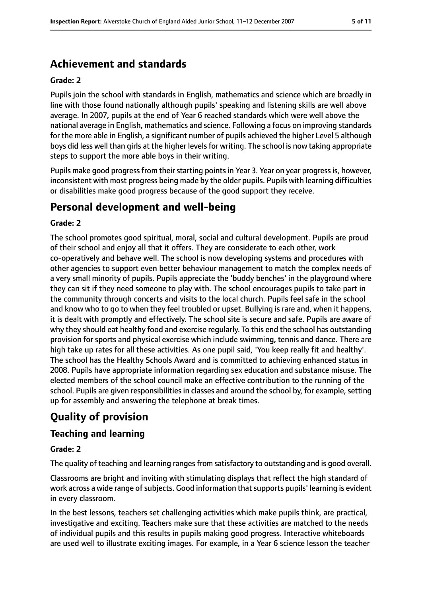## **Achievement and standards**

#### **Grade: 2**

Pupils join the school with standards in English, mathematics and science which are broadly in line with those found nationally although pupils' speaking and listening skills are well above average. In 2007, pupils at the end of Year 6 reached standards which were well above the national average in English, mathematics and science. Following a focus on improving standards for the more able in English, a significant number of pupils achieved the higher Level 5 although boys did less well than girls at the higher levels for writing. The school is now taking appropriate steps to support the more able boys in their writing.

Pupils make good progress from their starting points in Year 3. Year on year progress is, however, inconsistent with most progress being made by the older pupils. Pupils with learning difficulties or disabilities make good progress because of the good support they receive.

## **Personal development and well-being**

#### **Grade: 2**

The school promotes good spiritual, moral, social and cultural development. Pupils are proud of their school and enjoy all that it offers. They are considerate to each other, work co-operatively and behave well. The school is now developing systems and procedures with other agencies to support even better behaviour management to match the complex needs of a very small minority of pupils. Pupils appreciate the 'buddy benches' in the playground where they can sit if they need someone to play with. The school encourages pupils to take part in the community through concerts and visits to the local church. Pupils feel safe in the school and know who to go to when they feel troubled or upset. Bullying is rare and, when it happens, it is dealt with promptly and effectively. The school site is secure and safe. Pupils are aware of why they should eat healthy food and exercise regularly. To this end the school has outstanding provision for sports and physical exercise which include swimming, tennis and dance. There are high take up rates for all these activities. As one pupil said, 'You keep really fit and healthy'. The school has the Healthy Schools Award and is committed to achieving enhanced status in 2008. Pupils have appropriate information regarding sex education and substance misuse. The elected members of the school council make an effective contribution to the running of the school. Pupils are given responsibilities in classes and around the school by, for example, setting up for assembly and answering the telephone at break times.

# **Quality of provision**

### **Teaching and learning**

#### **Grade: 2**

The quality of teaching and learning ranges from satisfactory to outstanding and is good overall.

Classrooms are bright and inviting with stimulating displays that reflect the high standard of work across a wide range of subjects. Good information that supports pupils' learning is evident in every classroom.

In the best lessons, teachers set challenging activities which make pupils think, are practical, investigative and exciting. Teachers make sure that these activities are matched to the needs of individual pupils and this results in pupils making good progress. Interactive whiteboards are used well to illustrate exciting images. For example, in a Year 6 science lesson the teacher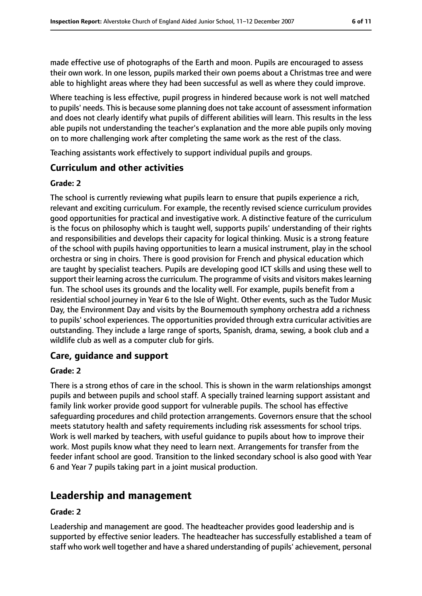made effective use of photographs of the Earth and moon. Pupils are encouraged to assess their own work. In one lesson, pupils marked their own poems about a Christmas tree and were able to highlight areas where they had been successful as well as where they could improve.

Where teaching is less effective, pupil progress in hindered because work is not well matched to pupils' needs. This is because some planning does not take account of assessment information and does not clearly identify what pupils of different abilities will learn. This results in the less able pupils not understanding the teacher's explanation and the more able pupils only moving on to more challenging work after completing the same work as the rest of the class.

Teaching assistants work effectively to support individual pupils and groups.

#### **Curriculum and other activities**

#### **Grade: 2**

The school is currently reviewing what pupils learn to ensure that pupils experience a rich, relevant and exciting curriculum. For example, the recently revised science curriculum provides good opportunities for practical and investigative work. A distinctive feature of the curriculum is the focus on philosophy which is taught well, supports pupils' understanding of their rights and responsibilities and develops their capacity for logical thinking. Music is a strong feature of the school with pupils having opportunities to learn a musical instrument, play in the school orchestra or sing in choirs. There is good provision for French and physical education which are taught by specialist teachers. Pupils are developing good ICT skills and using these well to support their learning across the curriculum. The programme of visits and visitors makes learning fun. The school uses its grounds and the locality well. For example, pupils benefit from a residential school journey in Year 6 to the Isle of Wight. Other events, such as the Tudor Music Day, the Environment Day and visits by the Bournemouth symphony orchestra add a richness to pupils' school experiences. The opportunities provided through extra curricular activities are outstanding. They include a large range of sports, Spanish, drama, sewing, a book club and a wildlife club as well as a computer club for girls.

#### **Care, guidance and support**

#### **Grade: 2**

There is a strong ethos of care in the school. This is shown in the warm relationships amongst pupils and between pupils and school staff. A specially trained learning support assistant and family link worker provide good support for vulnerable pupils. The school has effective safeguarding procedures and child protection arrangements. Governors ensure that the school meets statutory health and safety requirements including risk assessments for school trips. Work is well marked by teachers, with useful guidance to pupils about how to improve their work. Most pupils know what they need to learn next. Arrangements for transfer from the feeder infant school are good. Transition to the linked secondary school is also good with Year 6 and Year 7 pupils taking part in a joint musical production.

## **Leadership and management**

#### **Grade: 2**

Leadership and management are good. The headteacher provides good leadership and is supported by effective senior leaders. The headteacher has successfully established a team of staff who work well together and have a shared understanding of pupils' achievement, personal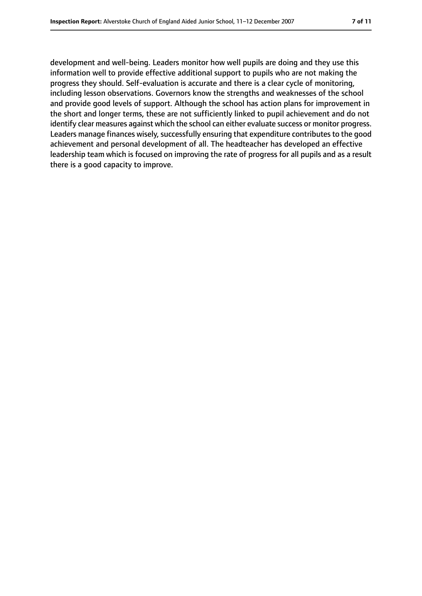development and well-being. Leaders monitor how well pupils are doing and they use this information well to provide effective additional support to pupils who are not making the progress they should. Self-evaluation is accurate and there is a clear cycle of monitoring, including lesson observations. Governors know the strengths and weaknesses of the school and provide good levels of support. Although the school has action plans for improvement in the short and longer terms, these are not sufficiently linked to pupil achievement and do not identify clear measures against which the school can either evaluate success or monitor progress. Leaders manage finances wisely, successfully ensuring that expenditure contributes to the good achievement and personal development of all. The headteacher has developed an effective leadership team which is focused on improving the rate of progress for all pupils and as a result there is a good capacity to improve.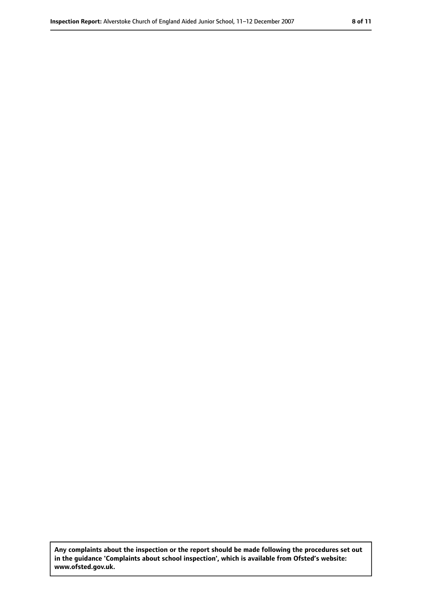**Any complaints about the inspection or the report should be made following the procedures set out in the guidance 'Complaints about school inspection', which is available from Ofsted's website: www.ofsted.gov.uk.**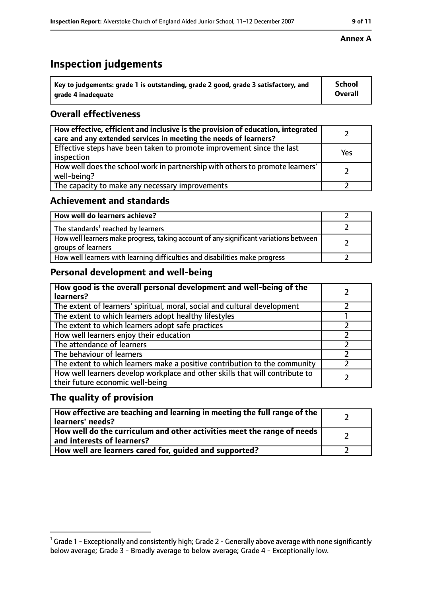## **Inspection judgements**

| Key to judgements: grade 1 is outstanding, grade 2 good, grade 3 satisfactory, and | <b>School</b>  |
|------------------------------------------------------------------------------------|----------------|
| arade 4 inadequate                                                                 | <b>Overall</b> |

## **Overall effectiveness**

| How effective, efficient and inclusive is the provision of education, integrated<br>care and any extended services in meeting the needs of learners? |     |
|------------------------------------------------------------------------------------------------------------------------------------------------------|-----|
| Effective steps have been taken to promote improvement since the last<br>inspection                                                                  | Yes |
| How well does the school work in partnership with others to promote learners'<br>well-being?                                                         |     |
| The capacity to make any necessary improvements                                                                                                      |     |

### **Achievement and standards**

| How well do learners achieve?                                                                               |  |
|-------------------------------------------------------------------------------------------------------------|--|
| The standards <sup>1</sup> reached by learners                                                              |  |
| How well learners make progress, taking account of any significant variations between<br>groups of learners |  |
| How well learners with learning difficulties and disabilities make progress                                 |  |

## **Personal development and well-being**

| How good is the overall personal development and well-being of the<br>learners?                                  |  |
|------------------------------------------------------------------------------------------------------------------|--|
| The extent of learners' spiritual, moral, social and cultural development                                        |  |
| The extent to which learners adopt healthy lifestyles                                                            |  |
| The extent to which learners adopt safe practices                                                                |  |
| How well learners enjoy their education                                                                          |  |
| The attendance of learners                                                                                       |  |
| The behaviour of learners                                                                                        |  |
| The extent to which learners make a positive contribution to the community                                       |  |
| How well learners develop workplace and other skills that will contribute to<br>their future economic well-being |  |

### **The quality of provision**

| How effective are teaching and learning in meeting the full range of the<br>learners' needs?            |  |
|---------------------------------------------------------------------------------------------------------|--|
| How well do the curriculum and other activities meet the range of needs  <br>and interests of learners? |  |
| How well are learners cared for, guided and supported?                                                  |  |

#### **Annex A**

 $^1$  Grade 1 - Exceptionally and consistently high; Grade 2 - Generally above average with none significantly below average; Grade 3 - Broadly average to below average; Grade 4 - Exceptionally low.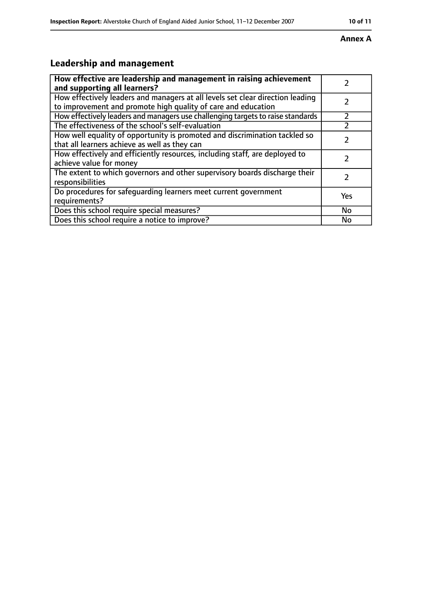#### **Annex A**

# **Leadership and management**

| How effective are leadership and management in raising achievement<br>and supporting all learners?                                              |     |
|-------------------------------------------------------------------------------------------------------------------------------------------------|-----|
| How effectively leaders and managers at all levels set clear direction leading<br>to improvement and promote high quality of care and education |     |
| How effectively leaders and managers use challenging targets to raise standards                                                                 |     |
| The effectiveness of the school's self-evaluation                                                                                               |     |
| How well equality of opportunity is promoted and discrimination tackled so<br>that all learners achieve as well as they can                     |     |
| How effectively and efficiently resources, including staff, are deployed to<br>achieve value for money                                          |     |
| The extent to which governors and other supervisory boards discharge their<br>responsibilities                                                  |     |
| Do procedures for safequarding learners meet current government<br>requirements?                                                                | Yes |
| Does this school require special measures?                                                                                                      | No  |
| Does this school require a notice to improve?                                                                                                   | No  |